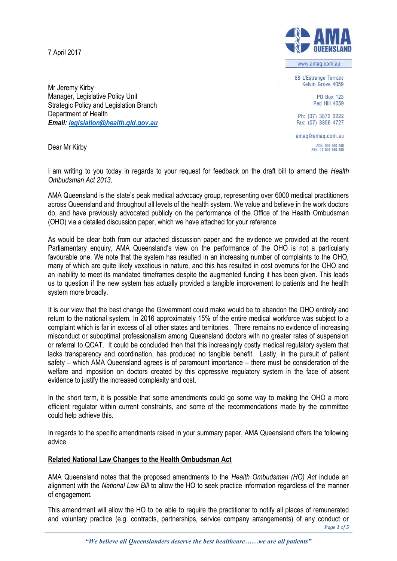7 April 2017



Dear Mr Kirby



AMA Queensland is the state's peak medical advocacy group, representing over 6000 medical practitioners across Queensland and throughout all levels of the health system. We value and believe in the work doctors do, and have previously advocated publicly on the performance of the Office of the Health Ombudsman (OHO) via a detailed discussion paper, which we have attached for your reference.

As would be clear both from our attached discussion paper and the evidence we provided at the recent Parliamentary enquiry, AMA Queensland's view on the performance of the OHO is not a particularly favourable one. We note that the system has resulted in an increasing number of complaints to the OHO, many of which are quite likely vexatious in nature, and this has resulted in cost overruns for the OHO and an inability to meet its mandated timeframes despite the augmented funding it has been given. This leads us to question if the new system has actually provided a tangible improvement to patients and the health system more broadly.

It is our view that the best change the Government could make would be to abandon the OHO entirely and return to the national system. In 2016 approximately 15% of the entire medical workforce was subject to a complaint which is far in excess of all other states and territories. There remains no evidence of increasing misconduct or suboptimal professionalism among Queensland doctors with no greater rates of suspension or referral to QCAT. It could be concluded then that this increasingly costly medical regulatory system that lacks transparency and coordination, has produced no tangible benefit. Lastly, in the pursuit of patient safety – which AMA Queensland agrees is of paramount importance – there must be consideration of the welfare and imposition on doctors created by this oppressive regulatory system in the face of absent evidence to justify the increased complexity and cost.

In the short term, it is possible that some amendments could go some way to making the OHO a more efficient regulator within current constraints, and some of the recommendations made by the committee could help achieve this.

In regards to the specific amendments raised in your summary paper, AMA Queensland offers the following advice.

# **Related National Law Changes to the Health Ombudsman Act**

AMA Queensland notes that the proposed amendments to the *Health Ombudsman (HO) Act* include an alignment with the *National Law Bill* to allow the HO to seek practice information regardless of the manner of engagement.

This amendment will allow the HO to be able to require the practitioner to notify all places of remunerated and voluntary practice (e.g. contracts, partnerships, service company arrangements) of any conduct or

*Page 1 of 5*

Fax: (07) 3856 4727

Ph: (07) 3872 2222

amaq@amaq.com.au ACN: 009 660 280<br>ABN: 17 009 660 280



www.amag.com.au 88 L'Estrange Terrace

Kelvin Grove 4059

PO Box 123 Red Hill 4059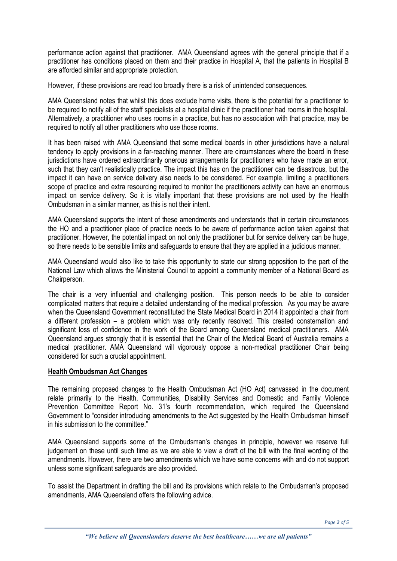performance action against that practitioner. AMA Queensland agrees with the general principle that if a practitioner has conditions placed on them and their practice in Hospital A, that the patients in Hospital B are afforded similar and appropriate protection.

However, if these provisions are read too broadly there is a risk of unintended consequences.

AMA Queensland notes that whilst this does exclude home visits, there is the potential for a practitioner to be required to notify all of the staff specialists at a hospital clinic if the practitioner had rooms in the hospital. Alternatively, a practitioner who uses rooms in a practice, but has no association with that practice, may be required to notify all other practitioners who use those rooms.

It has been raised with AMA Queensland that some medical boards in other jurisdictions have a natural tendency to apply provisions in a far-reaching manner. There are circumstances where the board in these jurisdictions have ordered extraordinarily onerous arrangements for practitioners who have made an error, such that they can't realistically practice. The impact this has on the practitioner can be disastrous, but the impact it can have on service delivery also needs to be considered. For example, limiting a practitioners scope of practice and extra resourcing required to monitor the practitioners activity can have an enormous impact on service delivery. So it is vitally important that these provisions are not used by the Health Ombudsman in a similar manner, as this is not their intent.

AMA Queensland supports the intent of these amendments and understands that in certain circumstances the HO and a practitioner place of practice needs to be aware of performance action taken against that practitioner. However, the potential impact on not only the practitioner but for service delivery can be huge, so there needs to be sensible limits and safeguards to ensure that they are applied in a judicious manner.

AMA Queensland would also like to take this opportunity to state our strong opposition to the part of the National Law which allows the Ministerial Council to appoint a community member of a National Board as Chairperson.

The chair is a very influential and challenging position. This person needs to be able to consider complicated matters that require a detailed understanding of the medical profession. As you may be aware when the Queensland Government reconstituted the State Medical Board in 2014 it appointed a chair from a different profession – a problem which was only recently resolved. This created consternation and significant loss of confidence in the work of the Board among Queensland medical practitioners. AMA Queensland argues strongly that it is essential that the Chair of the Medical Board of Australia remains a medical practitioner. AMA Queensland will vigorously oppose a non-medical practitioner Chair being considered for such a crucial appointment.

#### **Health Ombudsman Act Changes**

The remaining proposed changes to the Health Ombudsman Act (HO Act) canvassed in the document relate primarily to the Health, Communities, Disability Services and Domestic and Family Violence Prevention Committee Report No. 31's fourth recommendation, which required the Queensland Government to "consider introducing amendments to the Act suggested by the Health Ombudsman himself in his submission to the committee."

AMA Queensland supports some of the Ombudsman's changes in principle, however we reserve full judgement on these until such time as we are able to view a draft of the bill with the final wording of the amendments. However, there are two amendments which we have some concerns with and do not support unless some significant safeguards are also provided.

To assist the Department in drafting the bill and its provisions which relate to the Ombudsman's proposed amendments, AMA Queensland offers the following advice.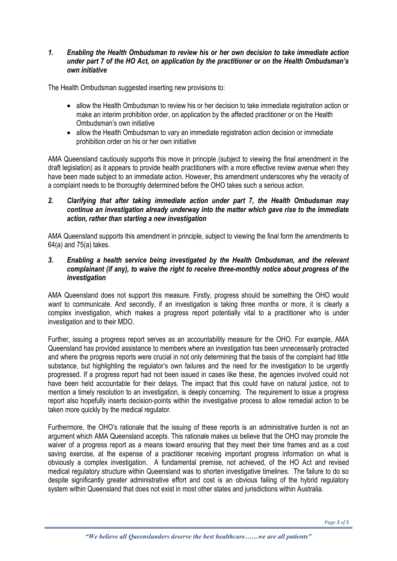### *1. Enabling the Health Ombudsman to review his or her own decision to take immediate action under part 7 of the HO Act, on application by the practitioner or on the Health Ombudsman's own initiative*

The Health Ombudsman suggested inserting new provisions to:

- allow the Health Ombudsman to review his or her decision to take immediate registration action or make an interim prohibition order, on application by the affected practitioner or on the Health Ombudsman's own initiative
- allow the Health Ombudsman to vary an immediate registration action decision or immediate prohibition order on his or her own initiative

AMA Queensland cautiously supports this move in principle (subject to viewing the final amendment in the draft legislation) as it appears to provide health practitioners with a more effective review avenue when they have been made subject to an immediate action. However, this amendment underscores why the veracity of a complaint needs to be thoroughly determined before the OHO takes such a serious action.

### *2. Clarifying that after taking immediate action under part 7, the Health Ombudsman may continue an investigation already underway into the matter which gave rise to the immediate action, rather than starting a new investigation*

AMA Queensland supports this amendment in principle, subject to viewing the final form the amendments to 64(a) and 75(a) takes.

#### *3. Enabling a health service being investigated by the Health Ombudsman, and the relevant complainant (if any), to waive the right to receive three-monthly notice about progress of the investigation*

AMA Queensland does not support this measure. Firstly, progress should be something the OHO would *want* to communicate. And secondly, if an investigation is taking three months or more, it is clearly a complex investigation, which makes a progress report potentially vital to a practitioner who is under investigation and to their MDO.

Further, issuing a progress report serves as an accountability measure for the OHO. For example, AMA Queensland has provided assistance to members where an investigation has been unnecessarily protracted and where the progress reports were crucial in not only determining that the basis of the complaint had little substance, but highlighting the regulator's own failures and the need for the investigation to be urgently progressed. If a progress report had not been issued in cases like these, the agencies involved could not have been held accountable for their delays. The impact that this could have on natural justice, not to mention a timely resolution to an investigation, is deeply concerning. The requirement to issue a progress report also hopefully inserts decision-points within the investigative process to allow remedial action to be taken more quickly by the medical regulator.

Furthermore, the OHO's rationale that the issuing of these reports is an administrative burden is not an argument which AMA Queensland accepts. This rationale makes us believe that the OHO may promote the waiver of a progress report as a means toward ensuring that they meet their time frames and as a cost saving exercise, at the expense of a practitioner receiving important progress information on what is obviously a complex investigation. A fundamental premise, not achieved, of the HO Act and revised medical regulatory structure within Queensland was to shorten investigative timelines. The failure to do so despite significantly greater administrative effort and cost is an obvious failing of the hybrid regulatory system within Queensland that does not exist in most other states and jurisdictions within Australia.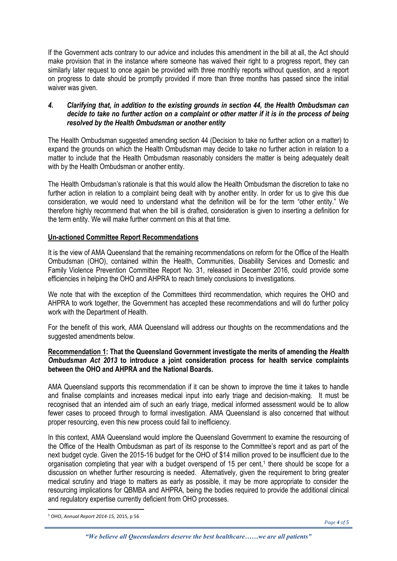If the Government acts contrary to our advice and includes this amendment in the bill at all, the Act should make provision that in the instance where someone has waived their right to a progress report, they can similarly later request to once again be provided with three monthly reports without question, and a report on progress to date should be promptly provided if more than three months has passed since the initial waiver was given.

#### *4. Clarifying that, in addition to the existing grounds in section 44, the Health Ombudsman can decide to take no further action on a complaint or other matter if it is in the process of being resolved by the Health Ombudsman or another entity*

The Health Ombudsman suggested amending section 44 (Decision to take no further action on a matter) to expand the grounds on which the Health Ombudsman may decide to take no further action in relation to a matter to include that the Health Ombudsman reasonably considers the matter is being adequately dealt with by the Health Ombudsman or another entity.

The Health Ombudsman's rationale is that this would allow the Health Ombudsman the discretion to take no further action in relation to a complaint being dealt with by another entity. In order for us to give this due consideration, we would need to understand what the definition will be for the term "other entity." We therefore highly recommend that when the bill is drafted, consideration is given to inserting a definition for the term entity. We will make further comment on this at that time.

# **Un-actioned Committee Report Recommendations**

It is the view of AMA Queensland that the remaining recommendations on reform for the Office of the Health Ombudsman (OHO), contained within the Health, Communities, Disability Services and Domestic and Family Violence Prevention Committee Report No. 31, released in December 2016, could provide some efficiencies in helping the OHO and AHPRA to reach timely conclusions to investigations.

We note that with the exception of the Committees third recommendation, which requires the OHO and AHPRA to work together, the Government has accepted these recommendations and will do further policy work with the Department of Health.

For the benefit of this work, AMA Queensland will address our thoughts on the recommendations and the suggested amendments below.

## **Recommendation 1: That the Queensland Government investigate the merits of amending the** *Health Ombudsman Act 2013* **to introduce a joint consideration process for health service complaints between the OHO and AHPRA and the National Boards.**

AMA Queensland supports this recommendation if it can be shown to improve the time it takes to handle and finalise complaints and increases medical input into early triage and decision-making. It must be recognised that an intended aim of such an early triage, medical informed assessment would be to allow fewer cases to proceed through to formal investigation. AMA Queensland is also concerned that without proper resourcing, even this new process could fail to inefficiency.

In this context, AMA Queensland would implore the Queensland Government to examine the resourcing of the Office of the Health Ombudsman as part of its response to the Committee's report and as part of the next budget cycle. Given the 2015-16 budget for the OHO of \$14 million proved to be insufficient due to the organisation completing that year with a budget overspend of 15 per cent,<sup>1</sup> there should be scope for a discussion on whether further resourcing is needed. Alternatively, given the requirement to bring greater medical scrutiny and triage to matters as early as possible, it may be more appropriate to consider the resourcing implications for QBMBA and AHPRA, being the bodies required to provide the additional clinical and regulatory expertise currently deficient from OHO processes.

**.** 

<sup>1</sup> OHO, *Annual Report 2014-15,* 2015, p 56